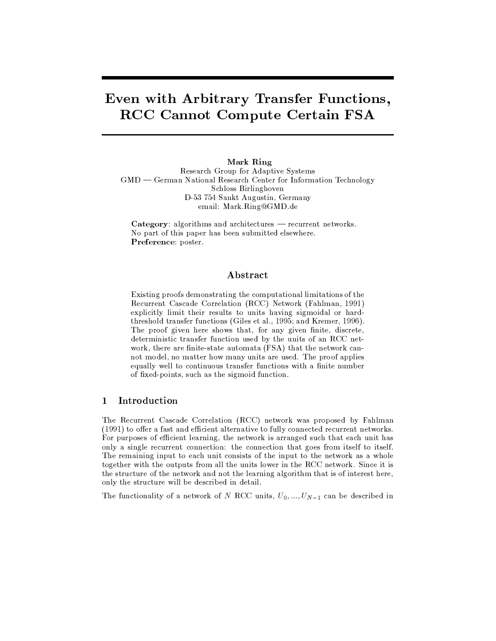# Even with Arbitrary Transfer Functions, **RCC Cannot Compute Certain FSA**

Mark Ring Research Group for Adaptive Systems  $GMD$  - German National Research Center for Information Technology Schloss Birlinghoven D-53 754 Sankt Augustin, Germany email: Mark.Ring@GMD.de

Category: algorithms and architectures - recurrent networks. No part of this paper has been submitted elsewhere. Preference: poster.

## Abstract

Existing proofs demonstrating the computational limitations of the Recurrent Cascade Correlation (RCC) Network (Fahlman, 1991) explicitly limit their results to units having sigmoidal or hardthreshold transfer functions (Giles et al., 1995; and Kremer, 1996). The proof given here shows that, for any given finite, discrete, deterministic transfer function used by the units of an RCC network, there are finite-state automata (FSA) that the network cannot model, no matter how many units are used. The proof applies equally well to continuous transfer functions with a finite number of fixed-points, such as the sigmoid function.

#### $\mathbf{1}$ Introduction

The Recurrent Cascade Correlation (RCC) network was proposed by Fahlman (1991) to offer a fast and efficient alternative to fully connected recurrent networks. For purposes of efficient learning, the network is arranged such that each unit has only a single recurrent connection: the connection that goes from itself to itself. The remaining input to each unit consists of the input to the network as a whole together with the outputs from all the units lower in the RCC network. Since it is the structure of the network and not the learning algorithm that is of interest here, only the structure will be described in detail.

The functionality of a network of N RCC units,  $U_0, ..., U_{N-1}$  can be described in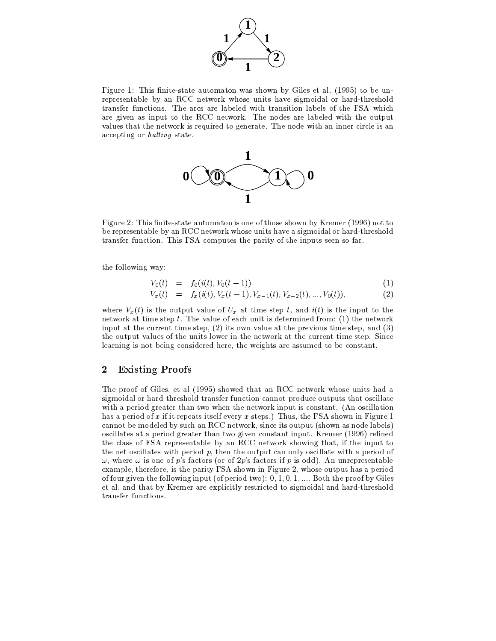

Figure 1: This finite-state automaton was shown by Giles et al. (1995) to be unrepresentable by an RCC network whose units have sigmoidal or hard-threshold transfer functions. The arcs are labeled with transition labels of the FSA which are given as input to the RCC network. The nodes are labeled with the output values that the network is required to generate. The node with an inner circle is an accepting or halting state.



Figure 2: This finite-state automaton is one of those shown by Kremer (1996) not to be representable by an RCC network whose units have a sigmoidal or hard-threshold transfer function. This FSA computes the parity of the inputs seen so far.

the following way:

$$
V_0(t) = f_0(i(t), V_0(t-1))
$$
\n(1)

$$
V_x(t) = f_x(i(t), V_x(t-1), V_{x-1}(t), V_{x-2}(t), ..., V_0(t)),
$$
\n(2)

where  $V_x(t)$  is the output value of  $U_x$  at time step t, and  $i(t)$  is the input to the network at time step  $t$ . The value of each unit is determined from: (1) the network input at the current time step,  $(2)$  its own value at the previous time step, and  $(3)$ the output values of the units lower in the network at the current time step. Since learning is not being considered here, the weights are assumed to be constant.

#### $\overline{2}$ **Existing Proofs**

The proof of Giles, et al (1995) showed that an RCC network whose units had a sigmoidal or hard-threshold transfer function cannot produce outputs that oscillate with a period greater than two when the network input is constant. (An oscillation has a period of x if it repeats itself every x steps.) Thus, the FSA shown in Figure 1 cannot be modeled by such an RCC network, since its output (shown as node labels) oscillates at a period greater than two given constant input. Kremer (1996) refined the class of FSA representable by an RCC network showing that, if the input to the net oscillates with period  $p$ , then the output can only oscillate with a period of  $\omega$ , where  $\omega$  is one of p's factors (or of 2p's factors if p is odd). An unrepresentable example, therefore, is the parity FSA shown in Figure 2, whose output has a period of four given the following input (of period two):  $0, 1, 0, 1, \ldots$  Both the proof by Giles et al. and that by Kremer are explicitly restricted to sigmoidal and hard-threshold transfer functions.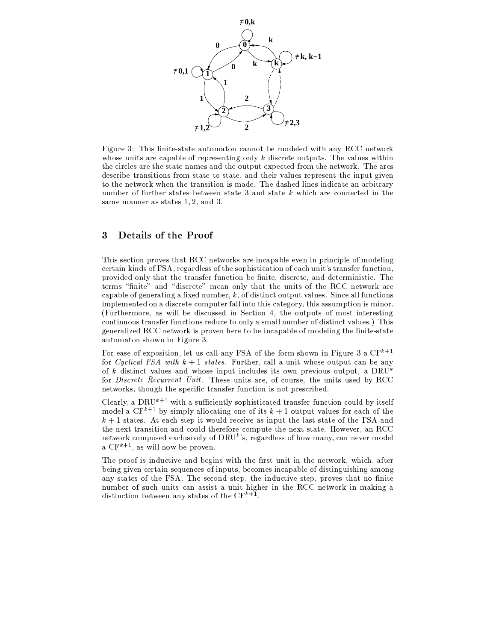

Figure 3: This finite-state automaton cannot be modeled with any RCC network whose units are capable of representing only  $k$  discrete outputs. The values within the circles are the state names and the output expected from the network. The arcs describe transitions from state to state, and their values represent the input given to the network when the transition is made. The dashed lines indicate an arbitrary number of further states between state 3 and state k which are connected in the same manner as states  $1, 2$ , and  $3$ .

#### 3 Details of the Proof

This section proves that RCC networks are incapable even in principle of modeling certain kinds of FSA, regardless of the sophistication of each unit's transfer function, provided only that the transfer function be finite, discrete, and deterministic. The terms "finite" and "discrete" mean only that the units of the RCC network are capable of generating a fixed number,  $k$ , of distinct output values. Since all functions implemented on a discrete computer fall into this category, this assumption is minor. (Furthermore, as will be discussed in Section 4, the outputs of most interesting continuous transfer functions reduce to only a small number of distinct values.) This generalized RCC network is proven here to be incapable of modeling the finite-state automaton shown in Figure 3.

For ease of exposition, let us call any FSA of the form shown in Figure 3 a  $CF^{k+1}$ for Cyclical FSA with  $k + 1$  states. Further, call a unit whose output can be any of k distinct values and whose input includes its own previous output, a DRU<sup>k</sup> for *Discrete Recurrent Unit*. These units are, of course, the units used by RCC networks, though the specific transfer function is not prescribed.

Clearly, a DRU<sup>k+1</sup> with a sufficiently sophisticated transfer function could by itself model a CF<sup>k+1</sup> by simply allocating one of its  $k + 1$  output values for each of the  $k+1$  states. At each step it would receive as input the last state of the FSA and the next transition and could therefore compute the next state. However, an RCC network composed exclusively of DRU<sup>k's</sup>, regardless of how many, can never model a  $CF^{k+1}$ , as will now be proven.

The proof is inductive and begins with the first unit in the network, which, after being given certain sequences of inputs, becomes incapable of distinguishing among any states of the FSA. The second step, the inductive step, proves that no finite number of such units can assist a unit higher in the RCC network in making a distinction between any states of the  $CF^{k+1}$ .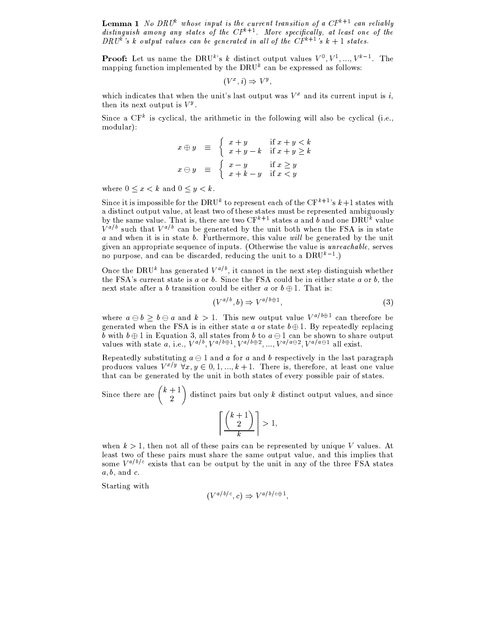**Lemma 1** No DRU<sup>k</sup> whose input is the current transition of a  $CF^{k+1}$  can reliably distinguish among any states of the  $CF^{k+1}$ . More specifically, at least one of the DRU<sup>k'</sup>'s k output values can be generated in all of the  $CF^{k+1}$ 's  $k+1$  states.

**Proof:** Let us name the DRU<sup>k</sup>'s k distinct output values  $V^0, V^1, ..., V^{k-1}$ . The mapping function implemented by the DRU<sup> $k$ </sup> can be expressed as follows:

$$
(V^x, i) \Rightarrow V^y,
$$

which indicates that when the unit's last output was  $V^x$  and its current input is i, then its next output is  $V^y$ .

Since a  $CF<sup>k</sup>$  is cyclical, the arithmetic in the following will also be cyclical (i.e., modular):

$$
x \oplus y \equiv \begin{cases} x+y & \text{if } x+y < k \\ x+y-k & \text{if } x+y \ge k \end{cases}
$$

$$
x \ominus y \equiv \begin{cases} x-y & \text{if } x \ge y \\ x+k-y & \text{if } x < y \end{cases}
$$

where  $0 \leq x < k$  and  $0 \leq y < k$ .

Since it is impossible for the DRU<sup>k</sup> to represent each of the CF<sup>k+1</sup>'s  $k+1$  states with a distinct output value, at least two of these states must be represented ambiguously by the same value. That is, there are two CF<sup>k+1</sup> states a and b and one DRU<sup>k</sup> value  $V^{a/b}$  such that  $V^{a/b}$  can be generated by the unit both when the FSA is in state  $a$  and when it is in state  $b$ . Furthermore, this value will be generated by the unit given an appropriate sequence of inputs. (Otherwise the value is *unreachable*, serves no purpose, and can be discarded, reducing the unit to a  $DRU^{k-1}$ .)

Once the DRU<sup>k</sup> has generated  $V^{a/b}$ , it cannot in the next step distinguish whether the FSA's current state is a or b. Since the FSA could be in either state a or b, the next state after a b transition could be either a or  $b \oplus 1$ . That is:

$$
(V^{a/b}, b) \Rightarrow V^{a/b \oplus 1}, \tag{3}
$$

where  $a \oplus b \geq b \oplus a$  and  $k > 1$ . This new output value  $V^{a/b \oplus 1}$  can therefore be generated when the FSA is in either state a or state  $b \oplus 1$ . By repeatedly replacing b with  $b \oplus 1$  in Equation 3, all states from b to  $a \oplus 1$  can be shown to share output values with state a, i.e.,  $V^{a/b}$ ,  $V^{a/b\oplus 1}$ ,  $V^{a/b\oplus 2}$ , ...,  $V^{a/a\ominus 2}$ ,  $V^{a/a\ominus 1}$  all exist.

Repeatedly substituting  $a \ominus 1$  and a for a and b respectively in the last paragraph produces values  $V^{x/y}$   $\forall x, y \in [0, 1, ..., k+1]$ . There is, therefore, at least one value that can be generated by the unit in both states of every possible pair of states.

Since there are  $\binom{k+1}{2}$  distinct pairs but only k distinct output values, and since

$$
\left\lceil\frac{\binom{k+1}{2}}{k}\right\rceil>1,
$$

when  $k > 1$ , then not all of these pairs can be represented by unique V values. At least two of these pairs must share the same output value, and this implies that some  $V^{a/b/c}$  exists that can be output by the unit in any of the three FSA states  $a, b, \text{ and } c.$ 

Starting with

$$
(V^{a/b/c}, c) \Rightarrow V^{a/b/c \oplus 1},
$$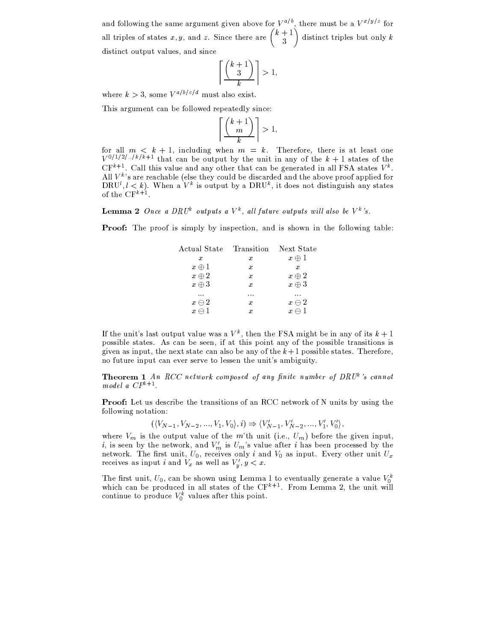and following the same argument given above for  $V^{a/b}$ , there must be a  $V^{x/y/z}$  for all triples of states x, y, and z. Since there are  $\binom{k+1}{3}$  distinct triples but only k distinct output values, and since

$$
\left\lceil \frac{\binom{k+1}{3}}{k} \right\rceil > 1,
$$

where  $k > 3$ , some  $V^{a/b/c/d}$  must also exist.

This argument can be followed repeatedly since:

$$
\left\lceil \frac{\binom{k+1}{m}}{k} \right\rceil > 1,
$$

for all  $m \leq k + 1$ , including when  $m = k$ . Therefore, there is at least one  $V^{0/1/2/\ldots/k/k+1}$  that can be output by the unit in any of the  $k+1$  states of the  $CF^{k+1}$ . Call this value and any other that can be generated in all FSA states  $V^k$ . All  $V^k$ 's are reachable (else they could be discarded and the above proof applied for DRU<sup>l</sup>,  $l < k$ ). When a  $V^k$  is output by a DRU<sup>k</sup>, it does not distinguish any states of the  $CF^{k+1}$ .

**Lemma 2** Once a DRU<sup>k</sup> outputs a  $V^k$ , all future outputs will also be  $V^k$ 's.

**Proof:** The proof is simply by inspection, and is shown in the following table:

| Actual State  | - Transition - Next State |                  |
|---------------|---------------------------|------------------|
| x             | x                         | $x \oplus 1$     |
| $x \oplus 1$  | x                         | $\boldsymbol{x}$ |
| $x\oplus 2$   | x                         | $x \oplus 2$     |
| $x \oplus 3$  | x                         | $x \oplus 3$     |
| $\cdots$      | .                         | .                |
| $x \ominus 2$ | x                         | $x \ominus 2$    |
| $x \ominus$   |                           | x.               |

If the unit's last output value was a  $V^k$ , then the FSA might be in any of its  $k+1$ possible states. As can be seen, if at this point any of the possible transitions is given as input, the next state can also be any of the  $k+1$  possible states. Therefore, no future input can ever serve to lessen the unit's ambiguity.

**Theorem 1** An RCC network composed of any finite number of DRU<sup>k</sup>'s cannot model a  $CF^{k+1}$ .

**Proof:** Let us describe the transitions of an RCC network of N units by using the following notation:

 $((V_{N-1}, V_{N-2}, ..., V_1, V_0), i) \Rightarrow (V'_{N-1}, V'_{N-2}, ..., V'_1, V'_0),$ 

where  $V_m$  is the output value of the m'th unit (i.e.,  $U_m$ ) before the given input, i, is seen by the network, and  $V'_m$  is  $U_m$ 's value after i has been processed by the network. The first unit,  $U_0$ , receives only i and  $V_0$  as input. Every other unit  $U_x$ receives as input *i* and  $V_x$  as well as  $V'_y, y < x$ .

The first unit,  $U_0$ , can be shown using Lemma 1 to eventually generate a value  $V_0^k$  which can be produced in all states of the CF<sup>k+1</sup>. From Lemma 2, the unit will continue to produce  $V_0^k$  values after this point.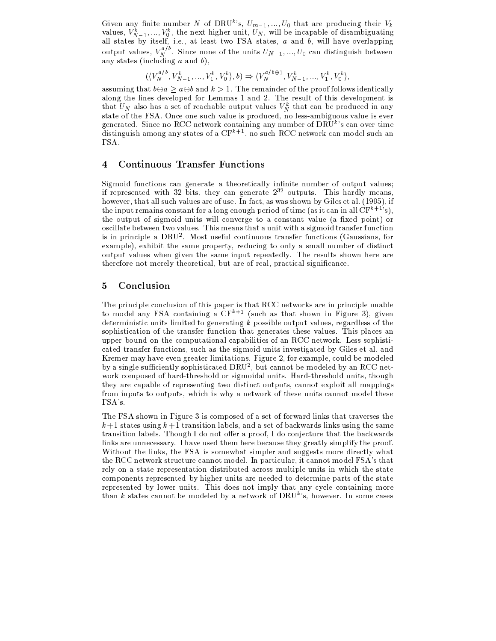Given any finite number N of DRU<sup>k</sup>'s,  $U_{m-1},..., U_0$  that are producing their  $V_k$  values,  $V_{N-1}^k,..., V_0^k$ , the next higher unit,  $U_N$ , will be incapable of disambiguating all states by itself, i.e., at least two FSA sta output values,  $V_N^{a/b}$ . Since none of the units  $U_{N-1},..., U_0$  can distinguish between any states (including a and b),

$$
(\langle V_N^{a/b}, V_{N-1}^k, \ldots, V_1^k, V_0^k \rangle, b) \Rightarrow \langle V_N^{a/b \oplus 1}, V_{N-1}^k, \ldots, V_1^k, V_0^k \rangle,
$$

assuming that  $b \ominus a \geq a \ominus b$  and  $k > 1$ . The remainder of the proof follows identically along the lines developed for Lemmas 1 and 2. The result of this development is that  $U_N$  also has a set of reachable output values  $V_N^k$  that can be produced in any state of the FSA. Once one such value is produced, no less-ambiguous value is ever generated. Since no RCC network containing any number of  $DR\check{U}^k$ 's can over time distinguish among any states of a  $CF<sup>k+1</sup>$ , no such RCC network can model such an FSA.

#### **Continuous Transfer Functions**  $\overline{\mathbf{4}}$

Sigmoid functions can generate a theoretically infinite number of output values; if represented with 32 bits, they can generate  $2^{32}$  outputs. This hardly means, however, that all such values are of use. In fact, as was shown by Giles et al. (1995), if the input remains constant for a long enough period of time (as it can in all  $CF^{k+1}$ 's), the output of sigmoid units will converge to a constant value (a fixed point) or oscillate between two values. This means that a unit with a sigmoid transfer function is in principle a  $DRU<sup>2</sup>$ . Most useful continuous transfer functions (Gaussians, for example), exhibit the same property, reducing to only a small number of distinct output values when given the same input repeatedly. The results shown here are therefore not merely theoretical, but are of real, practical significance.

#### $\overline{5}$ Conclusion

The principle conclusion of this paper is that RCC networks are in principle unable to model any FSA containing a  $CF<sup>k+1</sup>$  (such as that shown in Figure 3), given deterministic units limited to generating  $k$  possible output values, regardless of the sophistication of the transfer function that generates these values. This places an upper bound on the computational capabilities of an RCC network. Less sophisticated transfer functions, such as the sigmoid units investigated by Giles et al. and Kremer may have even greater limitations. Figure 2, for example, could be modeled by a single sufficiently sophisticated DRU<sup>2</sup>, but cannot be modeled by an RCC network composed of hard-threshold or sigmoidal units. Hard-threshold units, though they are capable of representing two distinct outputs, cannot exploit all mappings from inputs to outputs, which is why a network of these units cannot model these FSA's.

The FSA shown in Figure 3 is composed of a set of forward links that traverses the  $k+1$  states using  $k+1$  transition labels, and a set of backwards links using the same transition labels. Though I do not offer a proof, I do conjecture that the backwards links are unnecessary. I have used them here because they greatly simplify the proof. Without the links, the FSA is somewhat simpler and suggests more directly what the RCC network structure cannot model. In particular, it cannot model FSA's that rely on a state representation distributed across multiple units in which the state components represented by higher units are needed to determine parts of the state represented by lower units. This does not imply that any cycle containing more than k states cannot be modeled by a network of  $DRU<sup>k</sup>$ s, however. In some cases